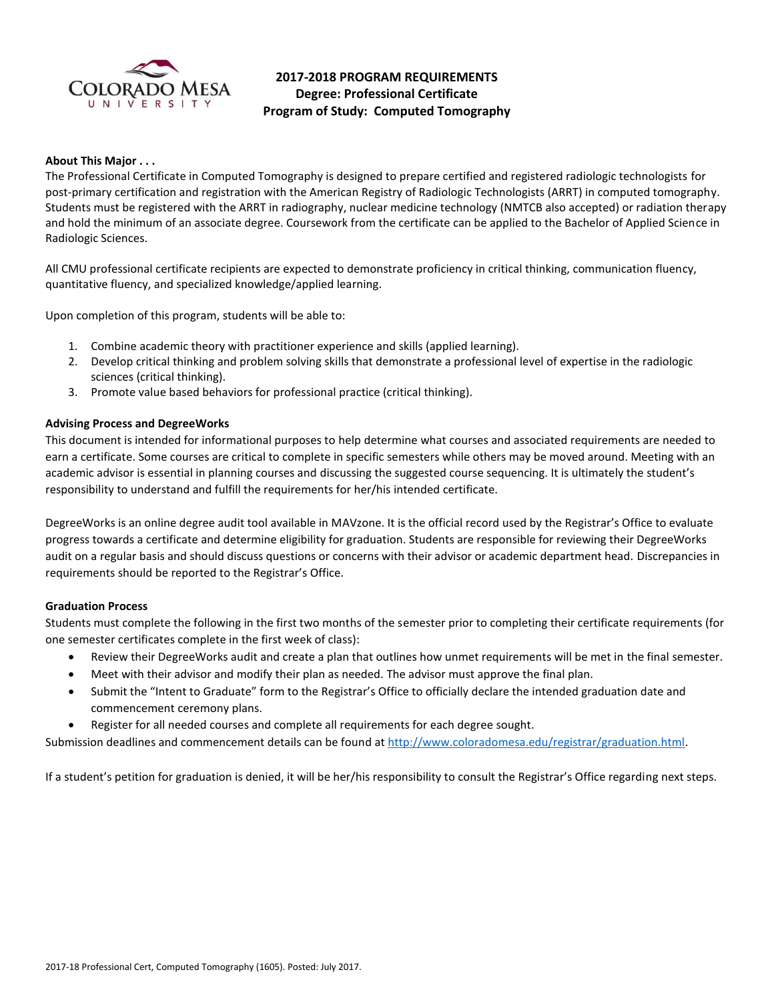

# **2017-2018 PROGRAM REQUIREMENTS Degree: Professional Certificate Program of Study: Computed Tomography**

## **About This Major . . .**

The Professional Certificate in Computed Tomography is designed to prepare certified and registered radiologic technologists for post-primary certification and registration with the American Registry of Radiologic Technologists (ARRT) in computed tomography. Students must be registered with the ARRT in radiography, nuclear medicine technology (NMTCB also accepted) or radiation therapy and hold the minimum of an associate degree. Coursework from the certificate can be applied to the Bachelor of Applied Science in Radiologic Sciences.

All CMU professional certificate recipients are expected to demonstrate proficiency in critical thinking, communication fluency, quantitative fluency, and specialized knowledge/applied learning.

Upon completion of this program, students will be able to:

- 1. Combine academic theory with practitioner experience and skills (applied learning).
- 2. Develop critical thinking and problem solving skills that demonstrate a professional level of expertise in the radiologic sciences (critical thinking).
- 3. Promote value based behaviors for professional practice (critical thinking).

### **Advising Process and DegreeWorks**

This document is intended for informational purposes to help determine what courses and associated requirements are needed to earn a certificate. Some courses are critical to complete in specific semesters while others may be moved around. Meeting with an academic advisor is essential in planning courses and discussing the suggested course sequencing. It is ultimately the student's responsibility to understand and fulfill the requirements for her/his intended certificate.

DegreeWorks is an online degree audit tool available in MAVzone. It is the official record used by the Registrar's Office to evaluate progress towards a certificate and determine eligibility for graduation. Students are responsible for reviewing their DegreeWorks audit on a regular basis and should discuss questions or concerns with their advisor or academic department head. Discrepancies in requirements should be reported to the Registrar's Office.

### **Graduation Process**

Students must complete the following in the first two months of the semester prior to completing their certificate requirements (for one semester certificates complete in the first week of class):

- Review their DegreeWorks audit and create a plan that outlines how unmet requirements will be met in the final semester.
- Meet with their advisor and modify their plan as needed. The advisor must approve the final plan.
- Submit the "Intent to Graduate" form to the Registrar's Office to officially declare the intended graduation date and commencement ceremony plans.
- Register for all needed courses and complete all requirements for each degree sought.

Submission deadlines and commencement details can be found at [http://www.coloradomesa.edu/registrar/graduation.html.](http://www.coloradomesa.edu/registrar/graduation.html)

If a student's petition for graduation is denied, it will be her/his responsibility to consult the Registrar's Office regarding next steps.